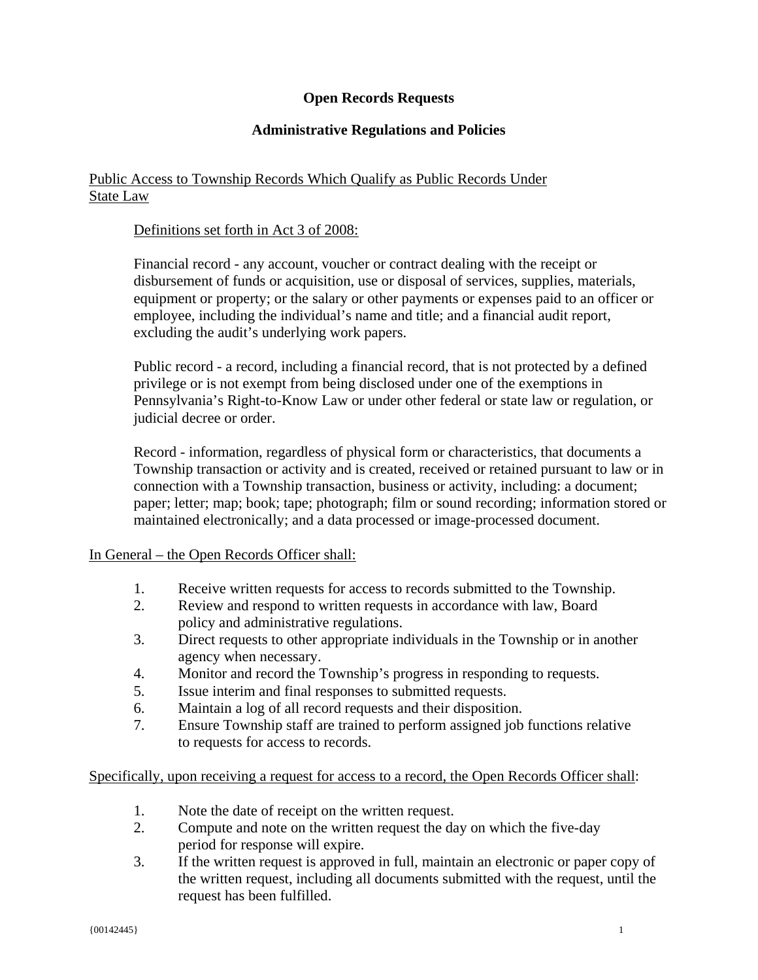# **Open Records Requests**

# **Administrative Regulations and Policies**

# Public Access to Township Records Which Qualify as Public Records Under State Law

# Definitions set forth in Act 3 of 2008:

Financial record - any account, voucher or contract dealing with the receipt or disbursement of funds or acquisition, use or disposal of services, supplies, materials, equipment or property; or the salary or other payments or expenses paid to an officer or employee, including the individual's name and title; and a financial audit report, excluding the audit's underlying work papers.

Public record - a record, including a financial record, that is not protected by a defined privilege or is not exempt from being disclosed under one of the exemptions in Pennsylvania's Right-to-Know Law or under other federal or state law or regulation, or judicial decree or order.

Record - information, regardless of physical form or characteristics, that documents a Township transaction or activity and is created, received or retained pursuant to law or in connection with a Township transaction, business or activity, including: a document; paper; letter; map; book; tape; photograph; film or sound recording; information stored or maintained electronically; and a data processed or image-processed document.

## In General – the Open Records Officer shall:

- 1. Receive written requests for access to records submitted to the Township.
- 2. Review and respond to written requests in accordance with law, Board policy and administrative regulations.
- 3. Direct requests to other appropriate individuals in the Township or in another agency when necessary.
- 4. Monitor and record the Township's progress in responding to requests.
- 5. Issue interim and final responses to submitted requests.
- 6. Maintain a log of all record requests and their disposition.
- 7. Ensure Township staff are trained to perform assigned job functions relative to requests for access to records.

# Specifically, upon receiving a request for access to a record, the Open Records Officer shall:

- 1. Note the date of receipt on the written request.
- 2. Compute and note on the written request the day on which the five-day period for response will expire.
- 3. If the written request is approved in full, maintain an electronic or paper copy of the written request, including all documents submitted with the request, until the request has been fulfilled.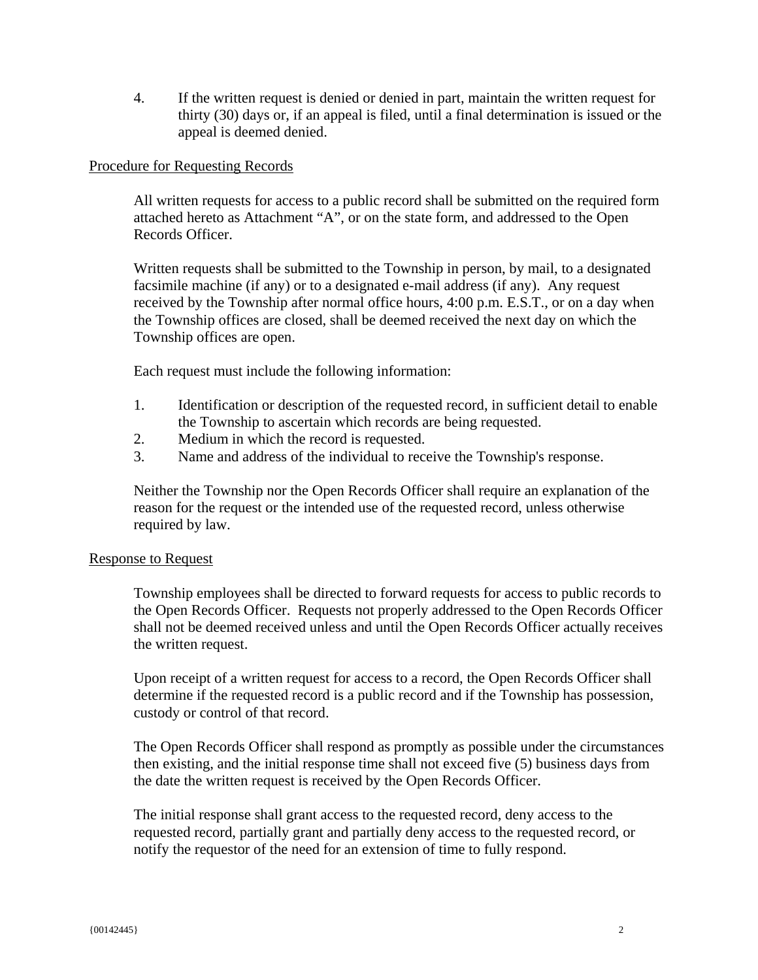4. If the written request is denied or denied in part, maintain the written request for thirty (30) days or, if an appeal is filed, until a final determination is issued or the appeal is deemed denied.

## Procedure for Requesting Records

All written requests for access to a public record shall be submitted on the required form attached hereto as Attachment "A", or on the state form, and addressed to the Open Records Officer.

Written requests shall be submitted to the Township in person, by mail, to a designated facsimile machine (if any) or to a designated e-mail address (if any). Any request received by the Township after normal office hours, 4:00 p.m. E.S.T., or on a day when the Township offices are closed, shall be deemed received the next day on which the Township offices are open.

Each request must include the following information:

- 1. Identification or description of the requested record, in sufficient detail to enable the Township to ascertain which records are being requested.
- 2. Medium in which the record is requested.
- 3. Name and address of the individual to receive the Township's response.

Neither the Township nor the Open Records Officer shall require an explanation of the reason for the request or the intended use of the requested record, unless otherwise required by law.

## Response to Request

Township employees shall be directed to forward requests for access to public records to the Open Records Officer. Requests not properly addressed to the Open Records Officer shall not be deemed received unless and until the Open Records Officer actually receives the written request.

Upon receipt of a written request for access to a record, the Open Records Officer shall determine if the requested record is a public record and if the Township has possession, custody or control of that record.

The Open Records Officer shall respond as promptly as possible under the circumstances then existing, and the initial response time shall not exceed five (5) business days from the date the written request is received by the Open Records Officer.

The initial response shall grant access to the requested record, deny access to the requested record, partially grant and partially deny access to the requested record, or notify the requestor of the need for an extension of time to fully respond.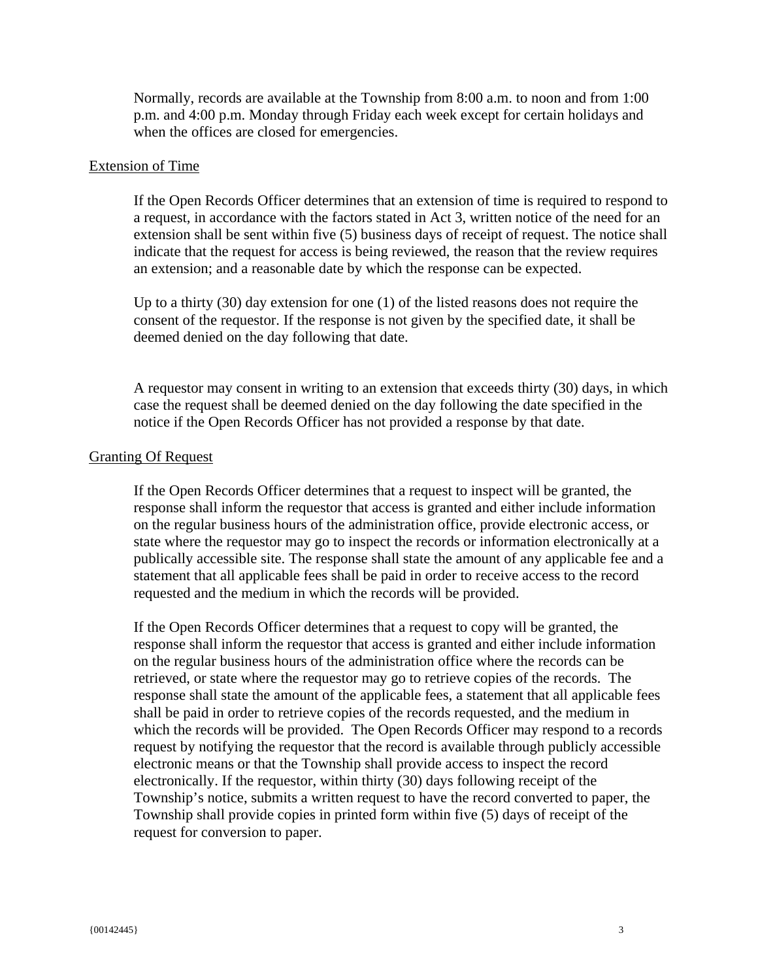Normally, records are available at the Township from 8:00 a.m. to noon and from 1:00 p.m. and 4:00 p.m. Monday through Friday each week except for certain holidays and when the offices are closed for emergencies.

#### Extension of Time

If the Open Records Officer determines that an extension of time is required to respond to a request, in accordance with the factors stated in Act 3, written notice of the need for an extension shall be sent within five (5) business days of receipt of request. The notice shall indicate that the request for access is being reviewed, the reason that the review requires an extension; and a reasonable date by which the response can be expected.

Up to a thirty (30) day extension for one (1) of the listed reasons does not require the consent of the requestor. If the response is not given by the specified date, it shall be deemed denied on the day following that date.

A requestor may consent in writing to an extension that exceeds thirty (30) days, in which case the request shall be deemed denied on the day following the date specified in the notice if the Open Records Officer has not provided a response by that date.

#### Granting Of Request

If the Open Records Officer determines that a request to inspect will be granted, the response shall inform the requestor that access is granted and either include information on the regular business hours of the administration office, provide electronic access, or state where the requestor may go to inspect the records or information electronically at a publically accessible site. The response shall state the amount of any applicable fee and a statement that all applicable fees shall be paid in order to receive access to the record requested and the medium in which the records will be provided.

If the Open Records Officer determines that a request to copy will be granted, the response shall inform the requestor that access is granted and either include information on the regular business hours of the administration office where the records can be retrieved, or state where the requestor may go to retrieve copies of the records. The response shall state the amount of the applicable fees, a statement that all applicable fees shall be paid in order to retrieve copies of the records requested, and the medium in which the records will be provided. The Open Records Officer may respond to a records request by notifying the requestor that the record is available through publicly accessible electronic means or that the Township shall provide access to inspect the record electronically. If the requestor, within thirty (30) days following receipt of the Township's notice, submits a written request to have the record converted to paper, the Township shall provide copies in printed form within five (5) days of receipt of the request for conversion to paper.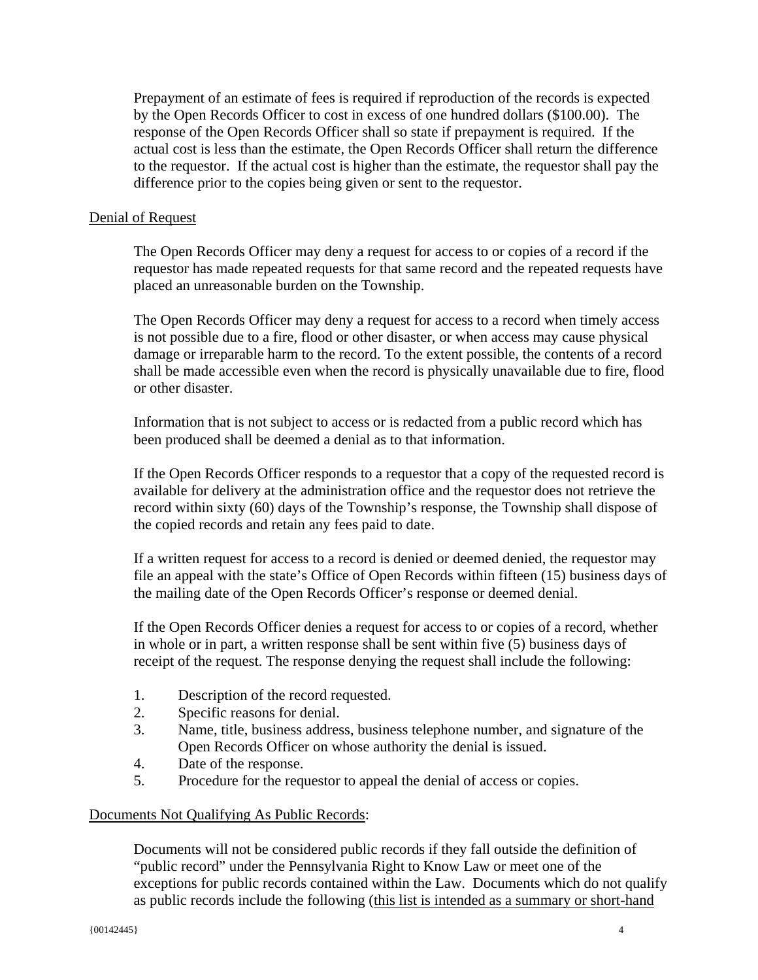Prepayment of an estimate of fees is required if reproduction of the records is expected by the Open Records Officer to cost in excess of one hundred dollars (\$100.00). The response of the Open Records Officer shall so state if prepayment is required. If the actual cost is less than the estimate, the Open Records Officer shall return the difference to the requestor. If the actual cost is higher than the estimate, the requestor shall pay the difference prior to the copies being given or sent to the requestor.

## Denial of Request

The Open Records Officer may deny a request for access to or copies of a record if the requestor has made repeated requests for that same record and the repeated requests have placed an unreasonable burden on the Township.

The Open Records Officer may deny a request for access to a record when timely access is not possible due to a fire, flood or other disaster, or when access may cause physical damage or irreparable harm to the record. To the extent possible, the contents of a record shall be made accessible even when the record is physically unavailable due to fire, flood or other disaster.

Information that is not subject to access or is redacted from a public record which has been produced shall be deemed a denial as to that information.

If the Open Records Officer responds to a requestor that a copy of the requested record is available for delivery at the administration office and the requestor does not retrieve the record within sixty (60) days of the Township's response, the Township shall dispose of the copied records and retain any fees paid to date.

If a written request for access to a record is denied or deemed denied, the requestor may file an appeal with the state's Office of Open Records within fifteen (15) business days of the mailing date of the Open Records Officer's response or deemed denial.

If the Open Records Officer denies a request for access to or copies of a record, whether in whole or in part, a written response shall be sent within five (5) business days of receipt of the request. The response denying the request shall include the following:

- 1. Description of the record requested.
- 2. Specific reasons for denial.
- 3. Name, title, business address, business telephone number, and signature of the Open Records Officer on whose authority the denial is issued.
- 4. Date of the response.
- 5. Procedure for the requestor to appeal the denial of access or copies.

## Documents Not Qualifying As Public Records:

Documents will not be considered public records if they fall outside the definition of "public record" under the Pennsylvania Right to Know Law or meet one of the exceptions for public records contained within the Law. Documents which do not qualify as public records include the following (this list is intended as a summary or short-hand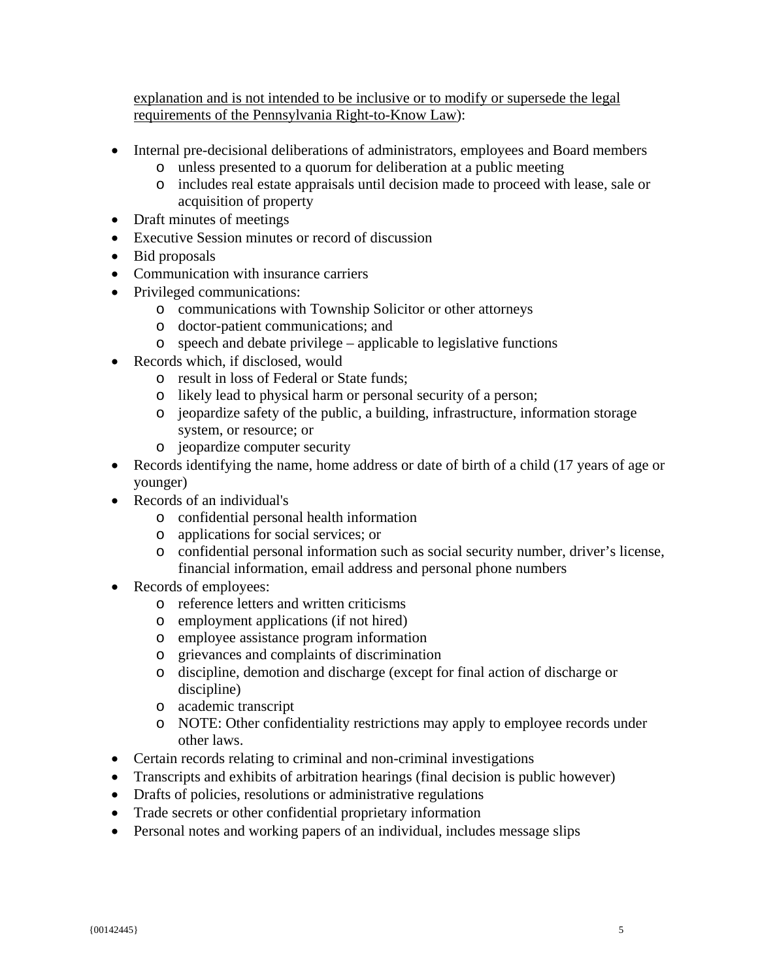explanation and is not intended to be inclusive or to modify or supersede the legal requirements of the Pennsylvania Right-to-Know Law):

- Internal pre-decisional deliberations of administrators, employees and Board members
	- o unless presented to a quorum for deliberation at a public meeting
	- o includes real estate appraisals until decision made to proceed with lease, sale or acquisition of property
- Draft minutes of meetings
- Executive Session minutes or record of discussion
- Bid proposals
- Communication with insurance carriers
- Privileged communications:
	- o communications with Township Solicitor or other attorneys
	- o doctor-patient communications; and
	- o speech and debate privilege applicable to legislative functions
- Records which, if disclosed, would
	- o result in loss of Federal or State funds;
	- o likely lead to physical harm or personal security of a person;
	- o jeopardize safety of the public, a building, infrastructure, information storage system, or resource; or
	- o jeopardize computer security
- Records identifying the name, home address or date of birth of a child (17 years of age or younger)
- Records of an individual's
	- o confidential personal health information
	- o applications for social services; or
	- o confidential personal information such as social security number, driver's license, financial information, email address and personal phone numbers
- Records of employees:
	- o reference letters and written criticisms
	- o employment applications (if not hired)
	- o employee assistance program information
	- o grievances and complaints of discrimination
	- o discipline, demotion and discharge (except for final action of discharge or discipline)
	- o academic transcript
	- o NOTE: Other confidentiality restrictions may apply to employee records under other laws.
- Certain records relating to criminal and non-criminal investigations
- Transcripts and exhibits of arbitration hearings (final decision is public however)
- Drafts of policies, resolutions or administrative regulations
- Trade secrets or other confidential proprietary information
- Personal notes and working papers of an individual, includes message slips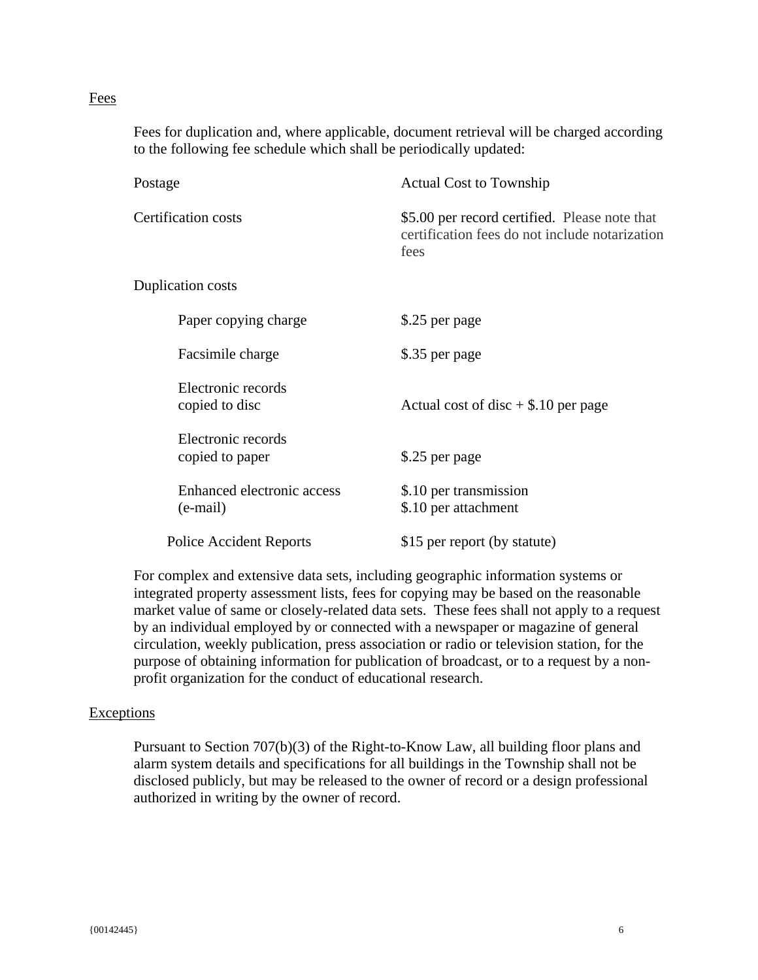## Fees

Fees for duplication and, where applicable, document retrieval will be charged according to the following fee schedule which shall be periodically updated:

| Postage                                | <b>Actual Cost to Township</b>                                                                          |
|----------------------------------------|---------------------------------------------------------------------------------------------------------|
| <b>Certification costs</b>             | \$5.00 per record certified. Please note that<br>certification fees do not include notarization<br>fees |
| <b>Duplication costs</b>               |                                                                                                         |
| Paper copying charge                   | \$.25 per page                                                                                          |
| Facsimile charge                       | \$.35 per page                                                                                          |
| Electronic records<br>copied to disc   | Actual cost of disc $+$ \$.10 per page                                                                  |
| Electronic records<br>copied to paper  | \$.25 per page                                                                                          |
| Enhanced electronic access<br>(e-mail) | \$.10 per transmission<br>\$.10 per attachment                                                          |
| <b>Police Accident Reports</b>         | \$15 per report (by statute)                                                                            |

For complex and extensive data sets, including geographic information systems or integrated property assessment lists, fees for copying may be based on the reasonable market value of same or closely-related data sets. These fees shall not apply to a request by an individual employed by or connected with a newspaper or magazine of general circulation, weekly publication, press association or radio or television station, for the purpose of obtaining information for publication of broadcast, or to a request by a nonprofit organization for the conduct of educational research.

## **Exceptions**

Pursuant to Section 707(b)(3) of the Right-to-Know Law, all building floor plans and alarm system details and specifications for all buildings in the Township shall not be disclosed publicly, but may be released to the owner of record or a design professional authorized in writing by the owner of record.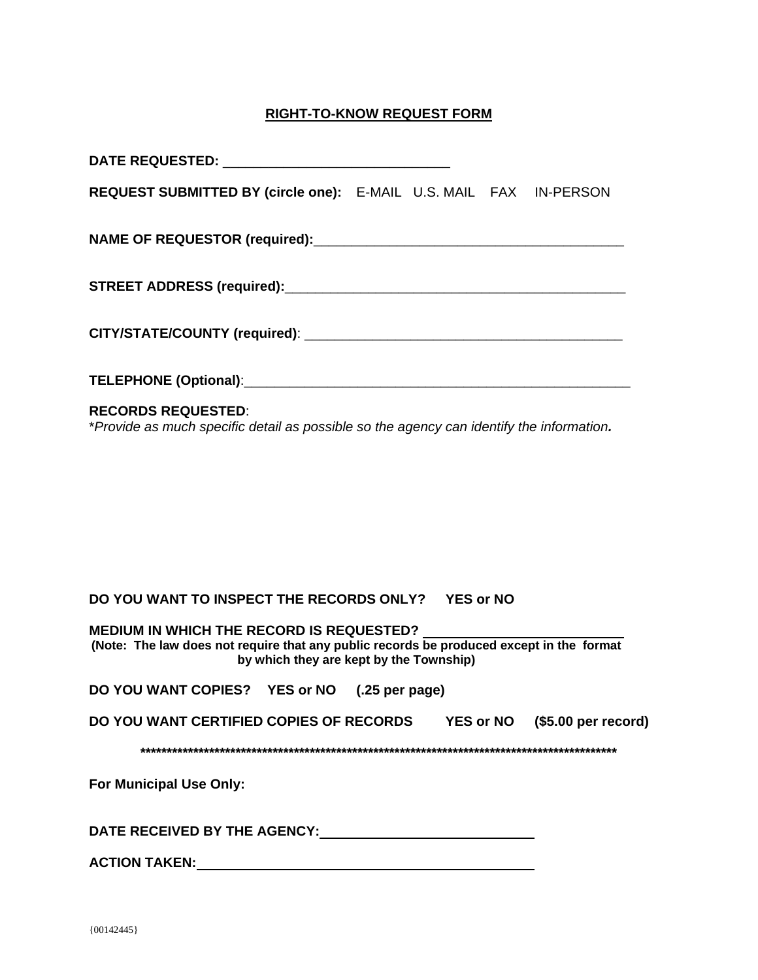# **RIGHT-TO-KNOW REQUEST FORM**

| REQUEST SUBMITTED BY (circle one): E-MAIL U.S. MAIL FAX IN-PERSON                                                                                                               |  |  |  |
|---------------------------------------------------------------------------------------------------------------------------------------------------------------------------------|--|--|--|
|                                                                                                                                                                                 |  |  |  |
|                                                                                                                                                                                 |  |  |  |
|                                                                                                                                                                                 |  |  |  |
|                                                                                                                                                                                 |  |  |  |
| <b>RECORDS REQUESTED:</b><br>*Provide as much specific detail as possible so the agency can identify the information.                                                           |  |  |  |
|                                                                                                                                                                                 |  |  |  |
|                                                                                                                                                                                 |  |  |  |
|                                                                                                                                                                                 |  |  |  |
|                                                                                                                                                                                 |  |  |  |
| DO YOU WANT TO INSPECT THE RECORDS ONLY? YES or NO                                                                                                                              |  |  |  |
| MEDIUM IN WHICH THE RECORD IS REQUESTED?<br>(Note: The law does not require that any public records be produced except in the format<br>by which they are kept by the Township) |  |  |  |
| DO YOU WANT COPIES? YES or NO (.25 per page)                                                                                                                                    |  |  |  |
| DO YOU WANT CERTIFIED COPIES OF RECORDS YES or NO (\$5.00 per record)                                                                                                           |  |  |  |
|                                                                                                                                                                                 |  |  |  |
| For Municipal Use Only:                                                                                                                                                         |  |  |  |
|                                                                                                                                                                                 |  |  |  |
|                                                                                                                                                                                 |  |  |  |